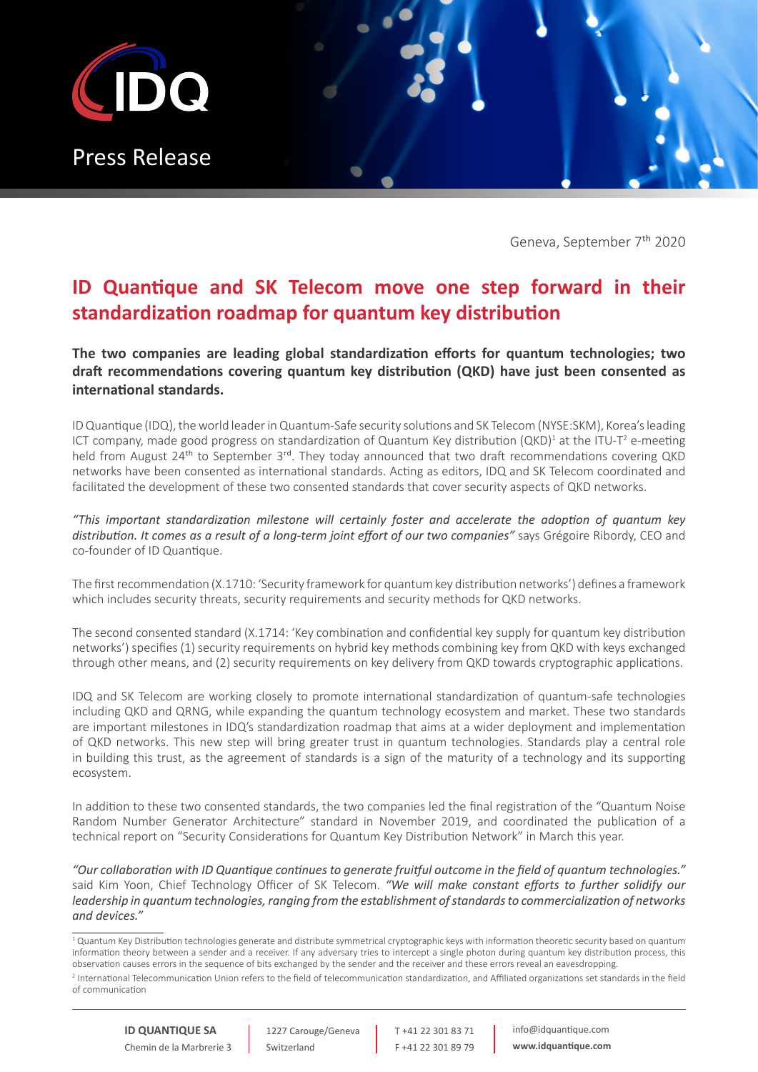

Geneva, September 7th 2020

## **ID Quantique and SK Telecom move one step forward in their standardization roadmap for quantum key distribution**

**The two companies are leading global standardization efforts for quantum technologies; two draft recommendations covering quantum key distribution (QKD) have just been consented as international standards.**

ID Quantique (IDQ), the world leader in Quantum-Safe security solutions and SK Telecom (NYSE:SKM), Korea's leading ICT company, made good progress on standardization of Quantum Key distribution (QKD)<sup>1</sup> at the ITU-T<sup>2</sup> e-meeting held from August 24<sup>th</sup> to September 3<sup>rd</sup>. They today announced that two draft recommendations covering QKD networks have been consented as international standards. Acting as editors, IDQ and SK Telecom coordinated and facilitated the development of these two consented standards that cover security aspects of QKD networks.

*"This important standardization milestone will certainly foster and accelerate the adoption of quantum key distribution. It comes as a result of a long-term joint effort of our two companies"* says Grégoire Ribordy, CEO and co-founder of ID Quantique.

The first recommendation (X.1710: 'Security framework for quantum key distribution networks') defines a framework which includes security threats, security requirements and security methods for QKD networks.

The second consented standard (X.1714: 'Key combination and confidential key supply for quantum key distribution networks') specifies (1) security requirements on hybrid key methods combining key from QKD with keys exchanged through other means, and (2) security requirements on key delivery from QKD towards cryptographic applications.

IDQ and SK Telecom are working closely to promote international standardization of quantum-safe technologies including QKD and QRNG, while expanding the quantum technology ecosystem and market. These two standards are important milestones in IDQ's standardization roadmap that aims at a wider deployment and implementation of QKD networks. This new step will bring greater trust in quantum technologies. Standards play a central role in building this trust, as the agreement of standards is a sign of the maturity of a technology and its supporting ecosystem.

In addition to these two consented standards, the two companies led the final registration of the "Quantum Noise Random Number Generator Architecture" standard in November 2019, and coordinated the publication of a technical report on "Security Considerations for Quantum Key Distribution Network" in March this year.

*"Our collaboration with ID Quantique continues to generate fruitful outcome in the field of quantum technologies."*  said Kim Yoon, Chief Technology Officer of SK Telecom. *"We will make constant efforts to further solidify our leadership in quantum technologies, ranging from the establishment of standards to commercialization of networks and devices."*

T +41 22 301 83 71 F +41 22 301 89 79 info@idquantique.com **www.idquantique.com**

 $^1$  Quantum Key Distribution technologies generate and distribute symmetrical cryptographic keys with information theoretic security based on quantum information theory between a sender and a receiver. If any adversary tries to intercept a single photon during quantum key distribution process, this observation causes errors in the sequence of bits exchanged by the sender and the receiver and these errors reveal an eavesdropping.

<sup>2</sup> International Telecommunication Union refers to the field of telecommunication standardization, and Affiliated organizations set standards in the field of communication